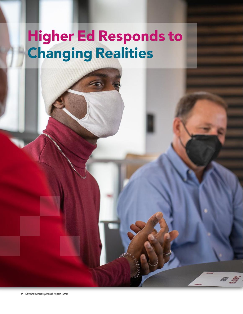# Higher Ed Responds to Changing Realities

a ş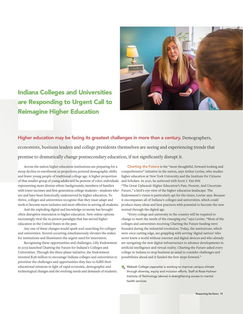# Indiana Colleges and Universities are Responding to Urgent Call to Reimagine Higher Education



# Higher education may be facing its greatest challenges in more than a century. Demographers,

economists, business leaders and college presidents themselves are seeing and experiencing trends that promise to dramatically change postsecondary education, if not significantly disrupt it.

Across the nation higher education institutions are preparing for a steep decline in enrollment as projections portend demographic shifts and fewer young people of traditional college age. A higher proportion of that smaller group of young adults will be persons of color, individuals representing more diverse ethnic backgrounds, members of families with lower incomes and first-generation college students—students who Future," a bird's-eye view of the higher education landscape. The are and have been historically underserved by higher education. To thrive, colleges and universities recognize that they must adapt and work to become more inclusive and more effective in serving all students.

And the exploding digital and knowledge economy has brought often disruptive innovation to higher education. New online options increasingly rival the in-person paradigm that has served higher education in the United States in the past.

Any one of these changes would spark soul-searching for colleges and universities. Several occurring simultaneously elevates the stakes for institutions and illuminates the urgent need for innovation.

Recognizing these opportunities and challenges, Lilly Endowment in 2019 launched Charting the Future for Indiana's Colleges and Universities. Through the three-phase initiative, the Endowment invested \$138 million to encourage Indiana colleges and universities to prioritize the challenges and opportunities they face to fulfill their educational missions in light of rapid economic, demographic and technological changes and the evolving needs and demands of students.

Charting the Future is the "most thoughtful, forward-looking and comprehensive" initiative in the nation, says Arthur Levine, who studies higher education at New York University and the Institute for Citizens and Scholars. In 2021, he authored with Scott J. Van Pelt "The Great Upheaval: Higher Education's Past, Present, And Uncertain Endowment's vision is particularly apt for the times, Levine says. Because it encompasses all of Indiana's colleges and universities, which could produce many ideas and best practices with potential to become the new normal through the digital age.

"Every college and university in the country will be required to change to meet the needs of the emerging era," says Levine. "Most of the colleges and universities receiving Charting the Future funding were founded during the industrial revolution. Today, the institutions, which were once cutting edge, are grappling with serving 'digital natives' who never knew a world without internet and digital devices and who already are navigating the new digital infrastructure to advance developments in artificial intelligence and virtual reality. Charting the Future asked every college in Indiana to stop business as usual to consider challenges and possibilities ahead and it funded the first steps forward."

**no Wabash College (opposite) is working to improve campus climate**  through diversity, equity and inclusion efforts. Staff at Rose-Hulman Institute of Technology (above) is strengthening access to mental health services.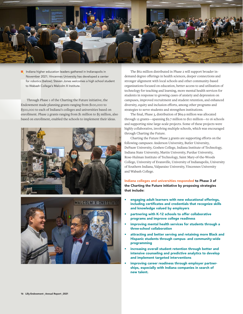

 $\blacksquare$  Indiana higher education leaders gathered in Indianapolis in November 2021; Vincennes University has developed a center for robotics (below); Steven Jones welcomes a high school student to Wabash College's Malcolm X Institute.

Through Phase 1 of the Charting the Future initiative, the Endowment made planning grants ranging from \$100,000 to \$500,000 to each of Indiana's colleges and universities based on enrollment. Phase 2 grants ranging from \$1 million to \$5 million, also based on enrollment, enabled the schools to implement their ideas.





The \$62 million distributed in Phase 2 will support broader indemand degree offerings in health sciences, deeper connections and stronger alignment with local schools and other community-based organizations focused on education, better access to and utilization of technology for teaching and learning, more mental health services for students in response to growing cases of anxiety and depression on campuses, improved recruitment and student retention, and enhanced diversity, equity and inclusion efforts, among other programs and strategies to serve students and strengthen institutions.

The final, Phase 3, distribution of \$69.9 million was allocated through 12 grants—spanning \$2.7 million to \$10 million—to 16 schools and supporting nine large-scale projects. Some of these projects were highly collaborative, involving multiple schools, which was encouraged through Charting the Future.

Charting the Future Phase 3 grants are supporting efforts on the following campuses: Anderson University, Butler University, DePauw University, Goshen College, Indiana Institute of Technology, Indiana State University, Martin University, Purdue University, Rose-Hulman Institute of Technology, Saint Mary-of-the-Woods College, University of Evansville, University of Indianapolis, University of Southern Indiana, Valparaiso University, Vincennes University and Wabash College.

Indiana colleges and universities responded to Phase 3 of the Charting the Future initiative by proposing strategies that include:

- engaging adult learners with new educational offerings, including certificates and credentials that recognize skills and knowledge valued by employers
- partnering with K-12 schools to offer collaborative programs and improve college readiness
- improving mental health services for students through a three-school collaboration
- attracting and better serving and retaining more Black and Hispanic students through campus- and community-wide programming
- increasing overall student retention through better and intensive counseling and predictive analytics to develop and implement targeted interventions
- improving career readiness through employer partnerships, especially with Indiana companies in search of new talent.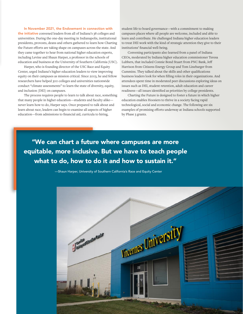In November 2021, the Endowment in connection with the initiative convened leaders from all of Indiana's 38 colleges and universities. During the one-day meeting in Indianapolis, institutional presidents, provosts, deans and others gathered to learn how Charting the Future efforts are taking shape on campuses across the state. And they came together to hear from national higher education experts, including Levine and Shaun Harper, a professor in the schools of education and business at the University of Southern California (USC).

Harper, who is founding director of the USC Race and Equity Center, urged Indiana's higher education leaders to view improving equity on their campuses as mission critical. Since 2003, he and fellow researchers have helped 300 colleges and universities nationwide conduct "climate assessments" to learn the state of diversity, equity, and inclusion (DEI) on campuses.

The process requires people to learn to talk about race, something that many people in higher education—students and faculty alike never learn how to do, Harper says. Once prepared to talk about and learn about race, leaders can begin to examine all aspects of higher education—from admissions to financial aid, curricula to hiring,

student life to board governance—with a commitment to making campuses places where all people are welcome, included and able to learn and contribute. He challenged Indiana higher education leaders to treat DEI work with the kind of strategic attention they give to their institutions' financial well-being.

Convening participants also learned from a panel of Indiana CEOs, moderated by Indiana higher education commissioner Teresa Lubbers, that included Connie Bond Stuart from PNC Bank, Jeff Harrison from Citizens Energy Group and Tom Linebarger from Cummins. They talked about the skills and other qualifications business leaders look for when filling roles in their organizations. And attendees spent time in moderated peer discussions exploring ideas on issues such as DEI, student retention, adult education and career readiness—all issues identified as priorities by college presidents.

Charting the Future is designed to foster a future in which higher education enables Hoosiers to thrive in a society facing rapid technological, social and economic change. The following are six examples of promising efforts underway at Indiana schools supported by Phase 3 grants.

"We can chart a future where campuses are more equitable, more inclusive. But we have to teach people what to do, how to do it and how to sustain it."

—Shaun Harper, University of Southern California's Race and Equity Center

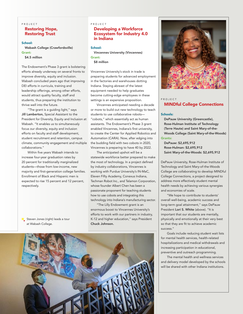#### PROJECT

# Restoring Hope, Restoring Trust

#### School:

Wabash College (Crawfordsville) Grant:

#### \$4.5 million

The Endowment's Phase 3 grant is bolstering efforts already underway on several fronts to improve diversity, equity and inclusion. Wabash concluded years ago that improving DEI efforts in curricula, training and leadership offerings, among other efforts, would attract quality faculty, staff and students, thus preparing the institution to thrive well into the future.

"The grant is a guiding light," says Jill Lamberton, Special Assistant to the President for Diversity, Equity and Inclusion at Wabash. "It enables us to simultaneously focus our diversity, equity and inclusion efforts on faculty and staff development, student recruitment and retention, campus climate, community engagement and multiple collaborations."

Within five years Wabash intends to increase four-year graduation rates by 20 percent for traditionally marginalized students—those from low-income, new majority and first-generation college families. Enrollment of Black and Hispanic men is expected to rise 15 percent and 12 percent, respectively.

**nm** Steven Jones (right) leads a tour at Wabash College.

#### PROJECT

### Developing a Workforce Ecosystem for Industry 4.0 in Indiana

#### School:

Vincennes University (Vincennes) Grant: \$8 million

Vincennes University's stock in trade is preparing students for advanced employment in the factories and warehouses dotting Indiana. Staying abreast of the latest equipment needed to help graduates become cutting-edge employees in these settings is an expensive proposition.

Vincennes anticipated needing a decade or more to build out new technology to teach students to use collaborative robots— "cobots," which essentially act as human assistants. The Endowment's Phase 3 grant enabled Vincennes, Indiana's first university, to create the Center for Applied Robotics and Automation (CARA). Now, after edging into the budding field with two cobots in 2020, Vincennes is preparing to have 40 by 2022.

The anticipated upshot will be a statewide workforce better prepared to make the most of technology. In a project defined by industry collaborations, Vincennes is working with Purdue University's IN-MaC, Eleven Fifty Academy, Conexus Indiana, Techman Robot Inc., and Telamon Corporation, whose founder Albert Chen has been a passionate proponent for teaching students how to use cobots and integrating this technology into Indiana's manufacturing sector.

"The Lilly Endowment grant is an enormous boost to Vincennes University's efforts to work with our partners in industry, K-12 and higher education," says President Chuck Johnson.





#### PROJECT

## MINDful College Connections

#### Schools:

DePauw University (Greencastle), Rose-Hulman Institute of Technology (Terre Haute) and Saint Mary-of-the-Woods College (Saint Mary-of-the-Woods) Grants:

DePauw: \$2,695,912 Rose-Hulman: \$2,695,912 Saint Mary-of-the-Woods: \$2,695,912

DePauw University, Rose-Hulman Institute of Technology and Saint Mary-of-the-Woods College are collaborating to develop MINDful College Connections, a project designed to address more effectively student mental health needs by achieving various synergies and economies of scale.

"We hope to contribute to students' overall well-being, academic success and long-term goal attainment," says DePauw President Lori S. White (above). "It is important that our students are mentally, physically and emotionally at their very best so that they are fit to achieve academic success."

Goals include reducing student wait lists for mental health services, health-related hospitalizations and medical withdrawals and increasing participation in educational, preventive and outreach programming.

The mental health and wellness services and delivery model developed by the schools will be shared with other Indiana institutions.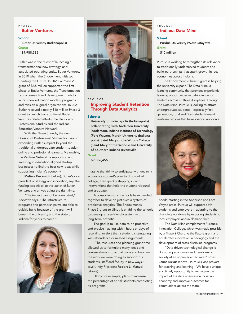# PROJECT Butler Ventures

School: Butler University (Indianapolis) Grant: \$9,988,335

Butler was in the midst of launching a transformational new strategy, and associated operating entity, Butler Ventures, in 2019 when the Endowment initiated Charting the Future. In 2020, a Phase 2 grant of \$2.5 million supported the first phase of Butler Ventures, the Transformation Lab, a research and development hub to launch new education models, programs and mission-aligned organizations. In 2021, Butler received a nearly \$10 million Phase 3 grant to launch two additional Butler Ventures related efforts, the Division of Professional Studies and the Indiana Education Venture Network.

With the Phase 3 funds, the new Division of Professional Studies focuses on expanding Butler's impact beyond the traditional undergraduate student to adult, online and profesional learners. Meanwhile, the Venture Network is supporting and investing in education-aligned startup businesses to find the best new ideas while supporting Indiana's economy.

Melissa Beckwith (below), Butler's vice president of strategy and innovation, says the funding was critical to the launch of Butler Ventures and arrived at just the right time.

"The impact cannot be overstated," Beckwith says. "The infrastructure, programs and partnerships we are able to quickly build because of the grant will benefit the university and the state of Indiana for years to come."





#### PROJECT

# Improving Student Retention Through Data Analytics

#### Schools:

University of Indianapolis (Indianapolis) collaborating with Anderson University (Anderson), Indiana Institute of Technology (Fort Wayne), Martin University (Indianapolis), Saint Mary-of-the-Woods College (Saint Mary of the Woods) and University of Southern Indiana (Evansville)

# Grant:

\$9,806,456

Imagine the ability to anticipate with uncanny accuracy a student's plan to drop out of college, then quickly stepping in with interventions that help the student rebound and graduate.

A consortium of six schools have banded together to develop just such a system of predictive analytics. The Endowment's Phase 3 grant to UIndy is enabling the schools to develop a user-friendly system with long-term potential.

The goal is to use data to be proactive and precise—acting within hours or days of receiving an alert that a student is struggling with attendance or missed assignments.

"The resources and planning grant time allowed us to formulate many ideas and conversations into actual plans and build on the work we were doing to support our students, staff and faculty in new ways," says UIndy President Robert L. Manuel (above).

UIndy, for example, plans to increase the percentage of at-risk students completing its programs.

# PROJECT Indiana Data Mine

#### School:

Purdue University (West Lafayette) Grant:

#### \$10 million

Purdue is working to strengthen its relevance to traditionally underserved students and build partnerships that spark growth in local economies across Indiana.

The Endowment's Phase 3 grant is helping the university expand The Data Mine, a learning community that provides experiential learning opportunities in data science for students across multiple disciplines. Through The Data Mine, Purdue is looking to attract undergraduate students—especially firstgeneration, rural and Black students—and revitalize regions that have specific workforce



needs, starting in the Anderson and Fort Wayne areas. Purdue will support both students and employers in adapting to the changing workforce by exposing students to local employers and in-demand skills.

The Data Mine complements Purdue's Innovation College, which was made possible by a Phase 2 Charting the Future grant and accelerates innovation in pedagogy and the development of cross-discipline programs.

"Data-driven technological change is disrupting economies and transforming society at an unprecedented rate," notes Jenna Rickus (above), Purdue's vice provost for teaching and learning. "We have a unique and timely opportunity to reimagine the impact of the data sciences on Indiana's economy and improve outcomes for communities across the state."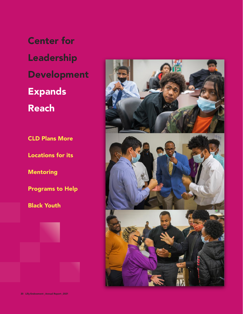CLD Plans More Center for Leadership Development Expands Reach

Locations for its

Mentoring

Programs to Help

Black Youth



20 Lilly Endowment | Annual Report | 2021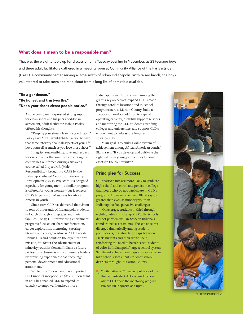# What does it mean to be a responsible man?

That was the weighty topic up for discussion on a Tuesday evening in November, as 23 teenage boys and three adult facilitators gathered in a meeting room at Community Alliance of the Far Eastside (CAFE), a community center serving a large swath of urban Indianapolis. With raised hands, the boys volunteered to take turns and read aloud from a long list of admirable qualities.

#### "Be a gentleman."

# "Be honest and trustworthy." "Keep your shoes clean; people notice."

As one young man expressed strong support for clean shoes and his peers nodded in agreement, adult facilitator Joshua Posley offered his thoughts.

"Keeping your shoes clean is a good habit," Posley said. "But I would challenge you to have that same integrity about all aspects of your life. Love yourself as much as you love those shoes."

Integrity, responsibility, love and respect for oneself and others—these are among the core values reinforced during a six-week course called Project MR (Male Responsibility), brought to CAFE by the Indianapolis-based Center for Leadership Development (CLD). Project MR is designed especially for young men—a similar program is offered for young women—but it reflects CLD's larger vision of success for African American youth.

Since 1977, CLD has delivered that vision to tens of thousands of Indianapolis students in fourth through 12th grades and their families. Today, CLD provides 19 enrichment programs focused on character formation, career exploration, mentoring, tutoring, literacy, and college readiness. CLD President Dennis E. Bland points to the organization's mission, "to foster the advancement of minority youth in Central Indiana as future professional, business and community leaders by providing experiences that encourage personal development and educational attainment."

While Lilly Endowment has supported CLD since its inception, an \$11.6 million grant in 2019 has enabled CLD to expand its capacity to empower hundreds more

Indianapolis youth to succeed. Among the grant's key objectives: expand CLD's reach through satellite locations and in-school programs across Marion County; build a 20,000-square-foot addition to expand operating capacity; establish support services and mentoring for CLD students attending colleges and universities; and support CLD's endowment to help assure long-term sustainability.

"Our goal is to build a value system of achievement among African American youth," Bland says. "If you develop and cultivate the right values in young people, they become assets to the community."

# Principles for Success

CLD participants are more likely to graduate high school and enroll and persist in college than peers who do not participate in CLD's programs. However, the need, Bland says, is greater than ever, as minority youth in Indianapolis face pervasive challenges.

On average, students in third through eighth grades in Indianapolis Public Schools did not perform well in 2020 on Indiana's standardized assessments. These test scores diverged dramatically among student populations, revealing large gaps between Black students and their white peers, reinforcing the need to better serve students of color in Indianapolis' largest school system. Significant achievement gaps also appeared in high school assessments in other school districts throughout Marion County.

**n** Youth gather at Community Alliance of the the Far Eastside (CAFE), a new location where CLD offers the mentoring program Project MR (opposite and right).



Respecting the Doers 21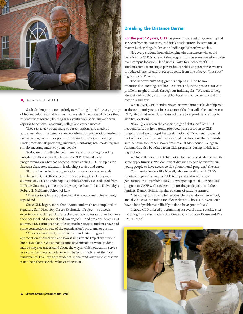

#### **n** Dennis Bland leads CLD.

Such challenges are not entirely new. During the mid-1970s, a group of Indianapolis civic and business leaders identified several factors they believed were severely limiting Black youth from achieving—or even aspiring to achieve—academic, college and career success.

They saw a lack of exposure to career options and a lack of awareness about the demands, expectations and preparation needed to take advantage of career opportunities. And there weren't enough Black professionals providing guidance, mentoring, role modeling and simple encouragement to young people.

Endowment funding helped these leaders, including founding president S. Henry Bundles Jr., launch CLD. It based early programming on what has become known as the CLD Principles for Success: character, education, leadership, service and career.

Bland, who has led the organization since 2000, was an early beneficiary of CLD efforts to instill those principles. He is a 1982 alumnus of CLD and Indianapolis Public Schools. He graduated from DePauw University and earned a law degree from Indiana University's Robert H. McKinney School of Law.

"These principles are all directed at one outcome: achievement," says Bland.

Since CLD began, more than 12,000 students have completed its signature Self-Discovery/Career Exploration Project—a 13-week experience in which participants discover how to establish and achieve their personal, educational and career goals—and are considered CLD alumni. CLD estimates that at least another 40,000 students have had some connection to one of the organization's programs or events.

"At a very basic level, we provide an understanding and appreciation of education and how it impacts the trajectory of your life," says Bland. "We do not assume anything about what students may or may not understand about the way in which education serves as a currency in our society, or why character matters. At the most fundamental level, we help students understand what good character is and help them see the value of education."

#### Breaking the Distance Barrier

For the past 12 years, CLD has primarily offered programming and services from its two-story, red brick headquarters, located on Dr. Martin Luther King, Jr. Street on Indianapolis' northwest side.

Not every student from challenging circumstances who could benefit from CLD is aware of the programs or has transportation to the main campus location, Bland notes. Forty-four percent of CLD students come from single-parent households; 47 percent receive free or reduced lunches and 35 percent come from one of seven "hot spot" high-crime ZIP codes.

The Endowment's 2019 grant is helping CLD to be more intentional in creating satellite locations, and, in the process, raise its profile in neighborhoods throughout Indianapolis. "We want to help students where they are, in neighborhoods where we are needed the most," Bland says.

When CAFE CEO Kendra Nowell stepped into her leadership role at the community center in 2020, one of the first calls she made was to CLD, which had recently announced plans to expand its offerings to satellite locations.

Nowell grew up on the east side, a good distance from CLD headquarters, but her parents provided transportation to CLD programs and encouraged her participation. CLD was such a crucial part of her educational and professional development that she made sure her own son Jathan, now a freshman at Morehouse College in Atlanta, Ga., also benefited from CLD programs during middle and high school.

Yet Nowell was mindful that not all far east side students have the same opportunities. "We don't want distance to be a barrier for our young people to have access to this phenomenal program," she says.

Community leaders like Nowell, who are familiar with CLD's reputation, pave the way for CLD to expand and reach a new generation. In November 2021 CLD wrapped up the fall Project MR program at CAFE with a celebration for the participants and their families. Damon Echols, 14, shared some of what he learned.

"They taught us how to be responsible males, do well in school, and also how we can take care of ourselves," Echols said. "You could have a lot of problems in life if you don't have good values."

In 2021, CLD offered programming at several other satellite sites, including Edna Martin Christian Center, Christamore House and The PATH School.